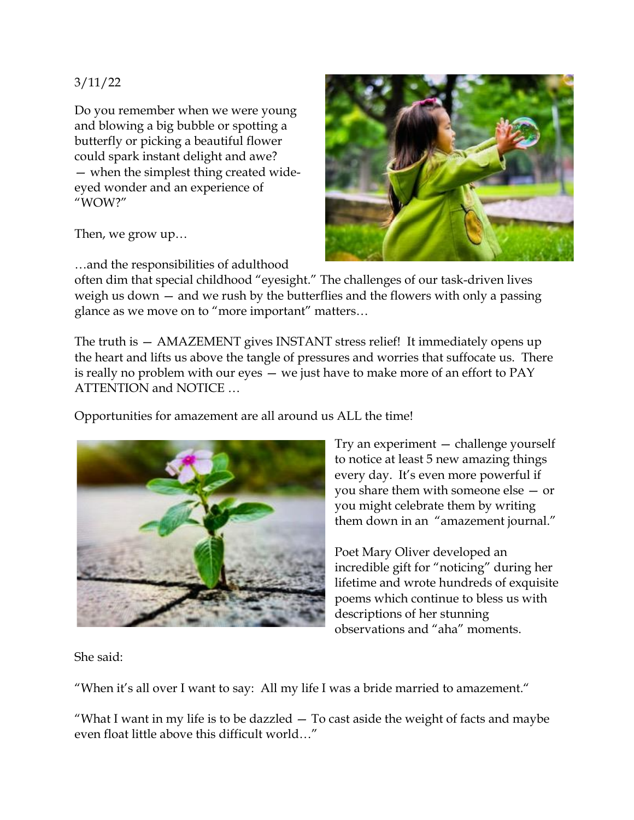## 3/11/22

Do you remember when we were young and blowing a big bubble or spotting a butterfly or picking a beautiful flower could spark instant delight and awe? — when the simplest thing created wideeyed wonder and an experience of "WOW?"

Then, we grow up…

…and the responsibilities of adulthood



often dim that special childhood "eyesight." The challenges of our task-driven lives weigh us down — and we rush by the butterflies and the flowers with only a passing glance as we move on to "more important" matters…

The truth is — AMAZEMENT gives INSTANT stress relief! It immediately opens up the heart and lifts us above the tangle of pressures and worries that suffocate us. There is really no problem with our eyes — we just have to make more of an effort to PAY ATTENTION and NOTICE …

Opportunities for amazement are all around us ALL the time!



Try an experiment — challenge yourself to notice at least 5 new amazing things every day. It's even more powerful if you share them with someone else — or you might celebrate them by writing them down in an "amazement journal."

Poet Mary Oliver developed an incredible gift for "noticing" during her lifetime and wrote hundreds of exquisite poems which continue to bless us with descriptions of her stunning observations and "aha" moments.

She said:

"When it's all over I want to say: All my life I was a bride married to amazement."

"What I want in my life is to be dazzled  $-$  To cast aside the weight of facts and maybe even float little above this difficult world…"